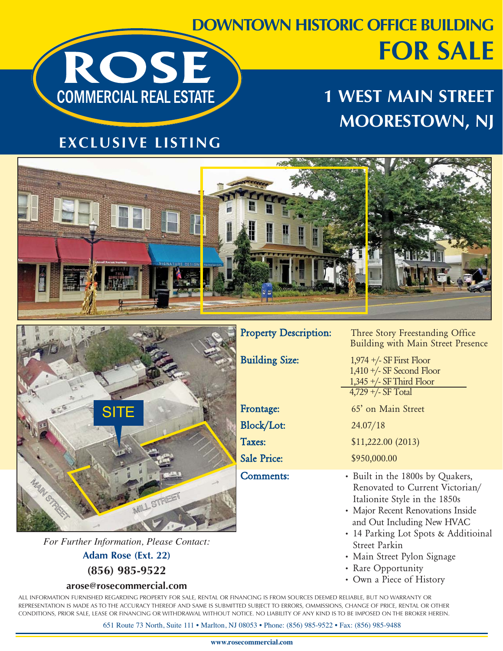## **DOWNTOWN HISTORIC OFFICE BUILDING FOR SALE**  ROSE

## **1 WEST MAIN STREET MOORESTOWN, NJ**

#### **EXCLUSIVE LISTING**

**COMMERCIAL REAL ESTATE** 





*For Further Information, Please Contact:*

**Adam Rose (Ext. 22) (856) 985-9522**

#### **arose@rosecommercial.com**

ALL INFORMATION FURNISHED REGARDING PROPERTY FOR SALE, RENTAL OR FINANCING IS FROM SOURCES DEEMED RELIABLE, BUT NO WARRANTY OR REPRESENTATION IS MADE AS TO THE ACCURACY THEREOF AND SAME IS SUBMITTED SUBJECT TO ERRORS, OMMISSIONS, CHANGE OF PRICE, RENTAL OR OTHER CONDITIONS, PRIOR SALE, LEASE OR FINANCING OR WITHDRAWAL WITHOUT NOTICE. NO LIABILITY OF ANY KIND IS TO BE IMPOSED ON THE BROKER HEREIN.

651 Route 73 North , Suite 111 • Marlton, NJ 08053 • Phone: (856) 985-9522 • Fax: (856) 985-9488

Property Description: Three Story Freestanding Office Building with Main Street Presence

Building Size: 1,974 +/- SF First Floor 1,410 +/- SF Second Floor 1,345 +/- SF Third Floor 4,729 +/- SF Total Frontage: 65' on Main Street Block/Lot: 24.07/18 Taxes: \$11,222.00 (2013) Sale Price: \$950,000.00

- Comments: Built in the 1800s by Quakers, Renovated to Current Victorian/ Italionite Style in the 1850s
	- Major Recent Renovations Inside and Out Including New HVAC
	- 14 Parking Lot Spots & Additioinal Street Parkin
	- Main Street Pylon Signage
	- Rare Opportunity
	- Own a Piece of History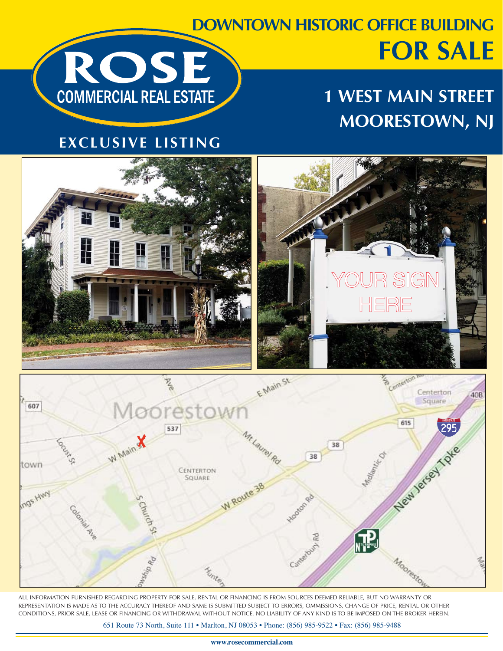## **DOWNTOWN HISTORIC OFFICE BUILDING FOR SALE**  ROSE



#### **EXCLUSIVE LISTING**

**COMMERCIAL REAL ESTATE** 





ALL INFORMATION FURNISHED REGARDING PROPERTY FOR SALE, RENTAL OR FINANCING IS FROM SOURCES DEEMED RELIABLE, BUT NO WARRANTY OR REPRESENTATION IS MADE AS TO THE ACCURACY THEREOF AND SAME IS SUBMITTED SUBJECT TO ERRORS, OMMISSIONS, CHANGE OF PRICE, RENTAL OR OTHER CONDITIONS, PRIOR SALE, LEASE OR FINANCING OR WITHDRAWAL WITHOUT NOTICE. NO LIABILITY OF ANY KIND IS TO BE IMPOSED ON THE BROKER HEREIN.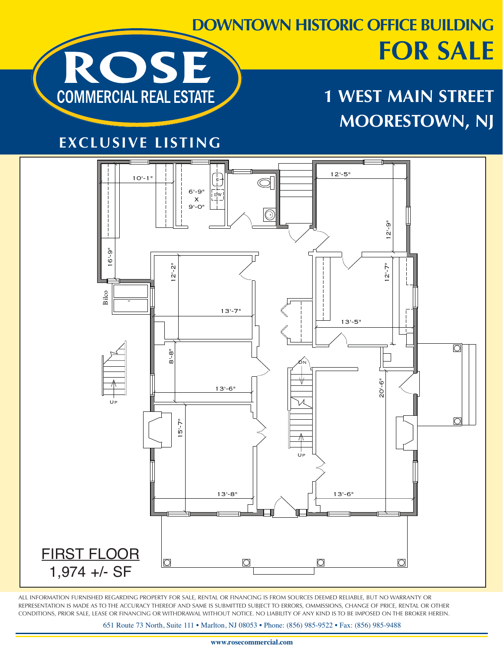

# **FOR SALE**

## **1 WEST MAIN STREET MOORESTOWN, NJ**

#### **EXCLUSIVE LISTING**



ALL INFORMATION FURNISHED REGARDING PROPERTY FOR SALE, RENTAL OR FINANCING IS FROM SOURCES DEEMED RELIABLE, BUT NO WARRANTY OR REPRESENTATION IS MADE AS TO THE ACCURACY THEREOF AND SAME IS SUBMITTED SUBJECT TO ERRORS, OMMISSIONS, CHANGE OF PRICE, RENTAL OR OTHER CONDITIONS, PRIOR SALE, LEASE OR FINANCING OR WITHDRAWAL WITHOUT NOTICE. NO LIABILITY OF ANY KIND IS TO BE IMPOSED ON THE BROKER HEREIN.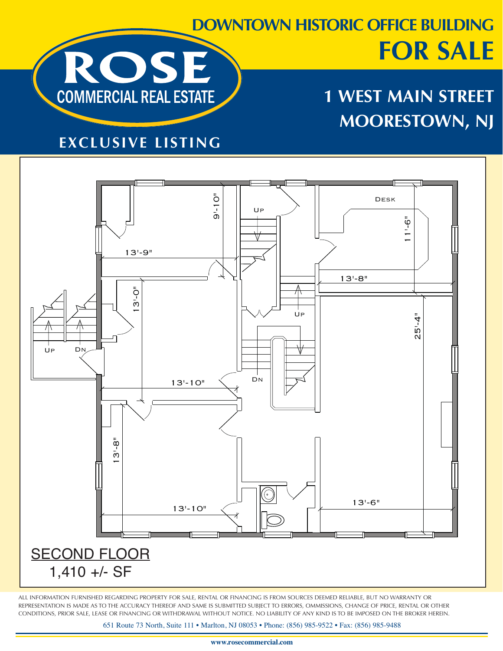

## **DOWNTOWN HISTORIC OFFICE BUILDING FOR SALE**

## **1 WEST MAIN STREET MOORESTOWN, NJ**

#### **EXCLUSIVE LISTING**



ALL INFORMATION FURNISHED REGARDING PROPERTY FOR SALE, RENTAL OR FINANCING IS FROM SOURCES DEEMED RELIABLE, BUT NO WARRANTY OR REPRESENTATION IS MADE AS TO THE ACCURACY THEREOF AND SAME IS SUBMITTED SUBJECT TO ERRORS, OMMISSIONS, CHANGE OF PRICE, RENTAL OR OTHER CONDITIONS, PRIOR SALE, LEASE OR FINANCING OR WITHDRAWAL WITHOUT NOTICE. NO LIABILITY OF ANY KIND IS TO BE IMPOSED ON THE BROKER HEREIN.